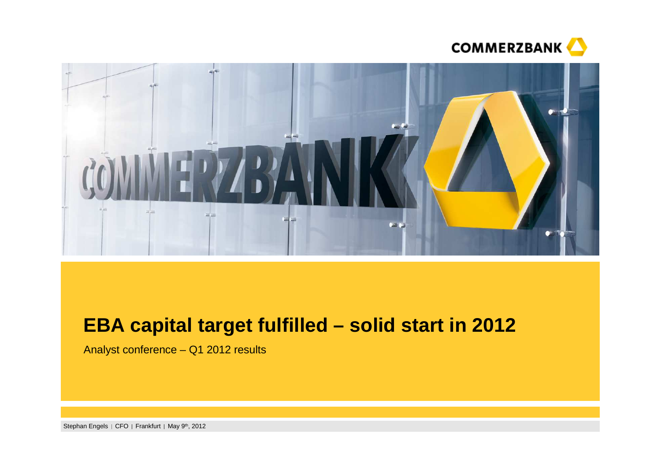



# **EBA capital target fulfilled – solid start in 2012**

Analyst conference – Q1 2012 results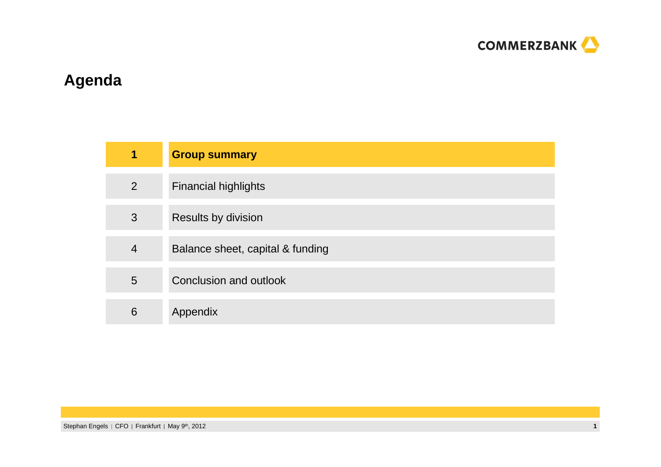

# **Agenda**

| 1              | <b>Group summary</b>             |
|----------------|----------------------------------|
| $\overline{2}$ | <b>Financial highlights</b>      |
| 3              | Results by division              |
| $\overline{4}$ | Balance sheet, capital & funding |
| 5              | Conclusion and outlook           |
| 6              | Appendix                         |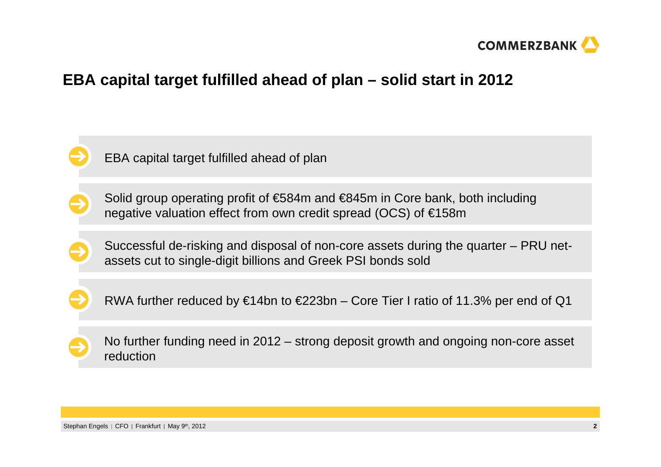

### **EBA capital target fulfilled ahead of plan – solid start in 2012**



EBA capital target fulfilled ahead of plan



**2**

Solid group operating profit of €584m and €845m in Core bank, both including negative valuation effect from own credit spread (OCS) of €158m

Successful de-risking and disposal of non-core assets during the quarter – PRU netassets cut to single-digit billions and Greek PSI bonds sold



RWA further reduced by  $\epsilon$ 14bn to  $\epsilon$ 223bn – Core Tier I ratio of 11.3% per end of Q1



No further funding need in 2012 – strong deposit growth and ongoing non-core asset reduction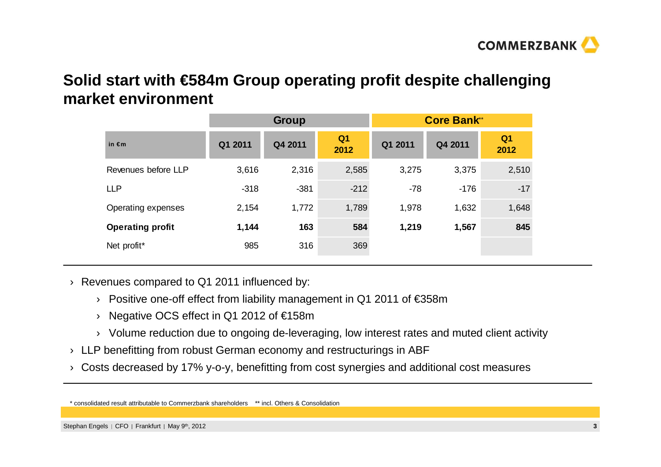

## **Solid start with €584m Group operating profit despite challenging market environment**

|                         | <b>Group</b> |         |                        | <b>Core Bank*</b> |         |                        |  |
|-------------------------|--------------|---------|------------------------|-------------------|---------|------------------------|--|
| in $\notin$ m           | Q1 2011      | Q4 2011 | Q <sub>1</sub><br>2012 | Q1 2011           | Q4 2011 | Q <sub>1</sub><br>2012 |  |
| Revenues before LLP     | 3,616        | 2,316   | 2,585                  | 3,275             | 3,375   | 2,510                  |  |
| <b>LLP</b>              | $-318$       | $-381$  | $-212$                 | $-78$             | $-176$  | $-17$                  |  |
| Operating expenses      | 2,154        | 1,772   | 1,789                  | 1,978             | 1,632   | 1,648                  |  |
| <b>Operating profit</b> | 1,144        | 163     | 584                    | 1,219             | 1,567   | 845                    |  |
| Net profit*             | 985          | 316     | 369                    |                   |         |                        |  |

- $\rightarrow$  Revenues compared to Q1 2011 influenced by:
	- › Positive one-off effect from liability management in Q1 2011 of €358m
	- › Negative OCS effect in Q1 2012 of €158m
	- $\rightarrow$   $\,$  Volume reduction due to ongoing de-leveraging, low interest rates and muted client activity
- $\rightarrow$  LLP benefitting from robust German economy and restructurings in ABF
- $\rightarrow$  Costs decreased by 17% y-o-y, benefitting from cost synergies and additional cost measures

<sup>\*</sup> consolidated result attributable to Commerzbank shareholders \*\* incl. Others & Consolidation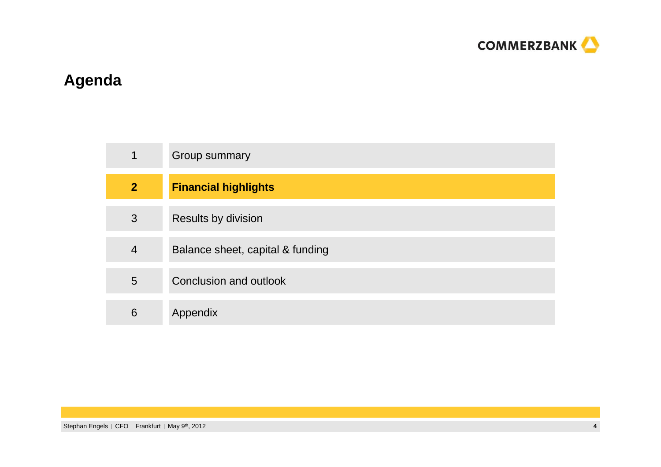

# **Agenda**

| $\mathbf 1$    | Group summary                    |
|----------------|----------------------------------|
| $\overline{2}$ | <b>Financial highlights</b>      |
| 3              | <b>Results by division</b>       |
| $\overline{4}$ | Balance sheet, capital & funding |
| 5              | Conclusion and outlook           |
| 6              | Appendix                         |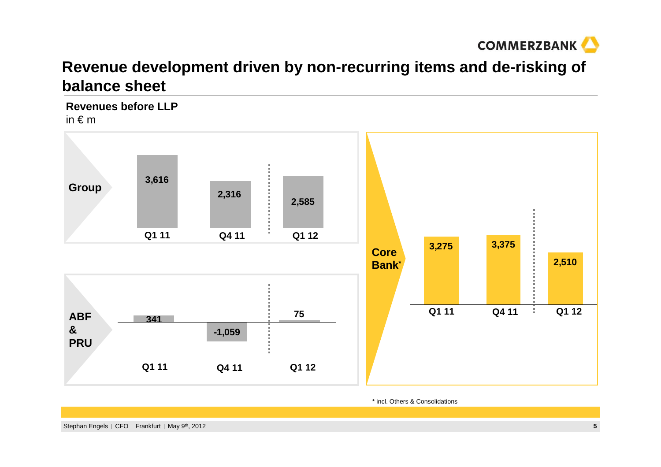

# **Revenue development driven by non-recurring items and de-risking ofbalance sheet**

**Revenues before LLP**in  $\notin$  m



\* incl. Others & Consolidations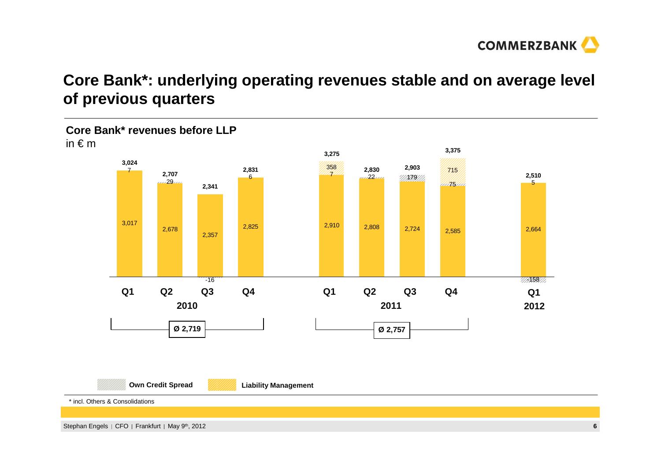

# **Core Bank\*: underlying operating revenues stable and on average level of previous quarters**

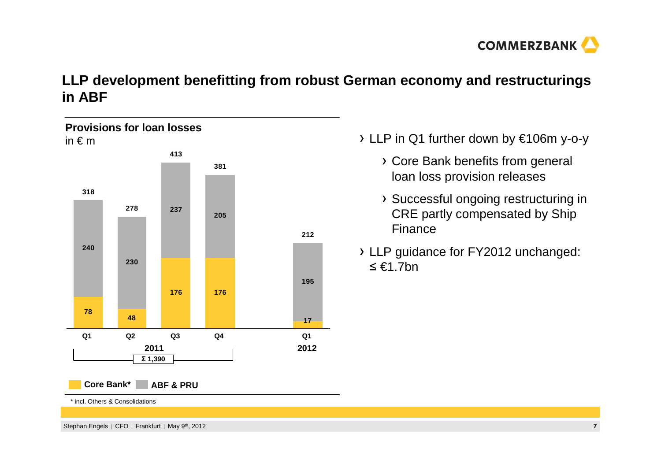

#### **LLP development benefitting from robust German economy and restructurings in ABF**



- LLP in Q1 further down by €106m y-o-y
	- Core Bank benefits from general loan loss provision releases
	- Successful ongoing restructuring in CRE partly compensated by Ship Finance
- LLP guidance for FY2012 unchanged: ื €1.7bn

\* incl. Others & Consolidations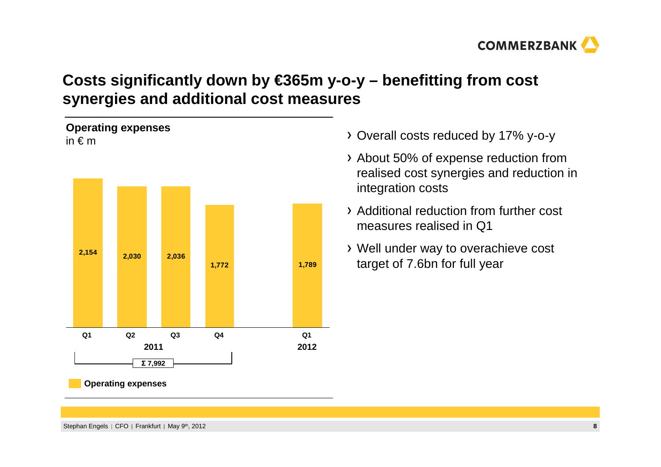

# **Costs significantly down by €365m y-o-y – benefitting from cost synergies and additional cost measures**



- Overall costs reduced by 17% y-o-y
- About 50% of expense reduction from realised cost synergies and reduction in integration costs
- Additional reduction from further cost measures realised in Q1
- Well under way to overachieve cost target of 7.6bn for full year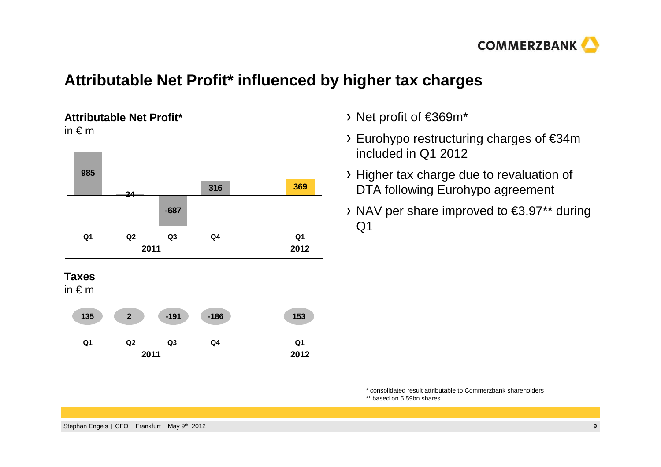

## **Attributable Net Profit\* influenced by higher tax charges**



- Net profit of €369m\*
- Eurohypo restructuring charges of €34m included in Q1 2012
- Higher tax charge due to revaluation of DTA following Eurohypo agreement
- NAV per share improved to €3.97\*\* during Q1

\* consolidated result attributable to Commerzbank shareholders

\*\* based on 5.59bn shares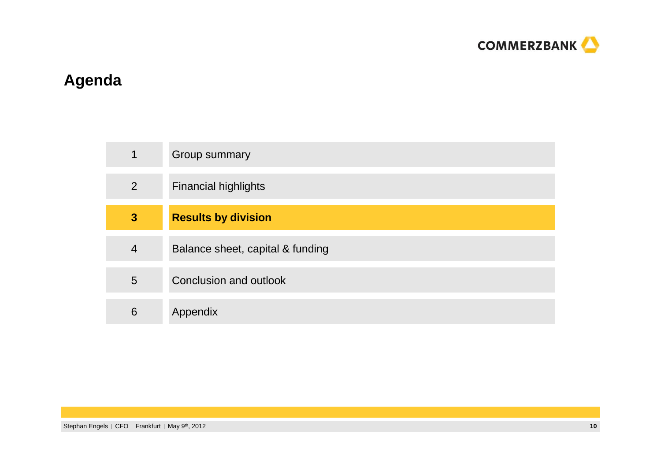

# **Agenda**

| 1              | Group summary                    |
|----------------|----------------------------------|
| $\overline{2}$ | <b>Financial highlights</b>      |
| 3              | <b>Results by division</b>       |
| $\overline{4}$ | Balance sheet, capital & funding |
| 5              | Conclusion and outlook           |
| 6              | Appendix                         |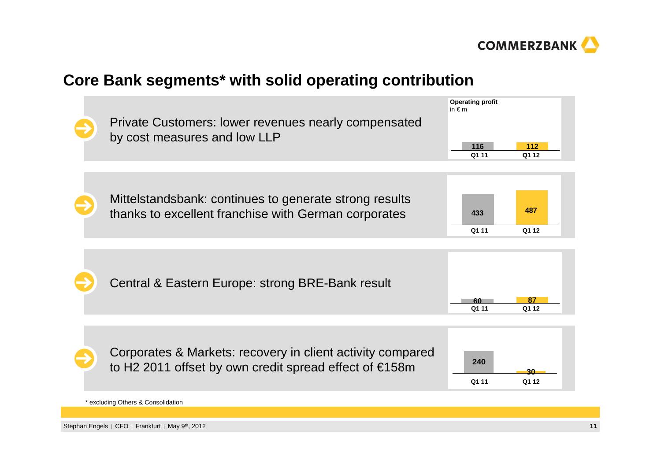

### **Core Bank segments\* with solid operating contribution**

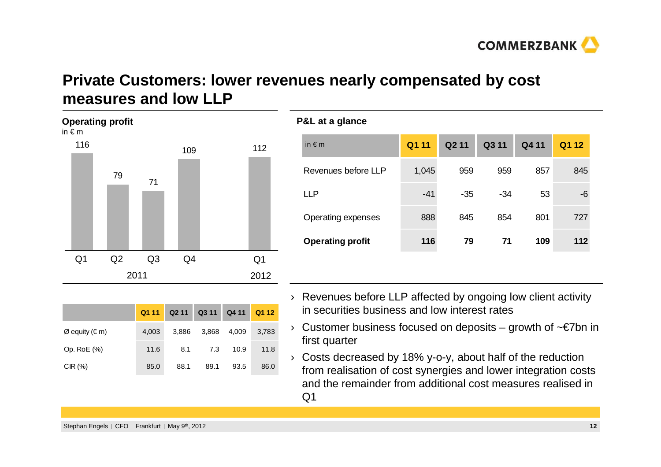

### **Private Customers: lower revenues nearly compensated by cost measures and low LLP**

| in $\epsilon$ m | Operating pront |                |     |                |  |
|-----------------|-----------------|----------------|-----|----------------|--|
| 116             | 79              |                | 109 | 112            |  |
|                 |                 | 71             |     |                |  |
| Q <sub>1</sub>  | Q2              | Q <sub>3</sub> | Q4  | Q <sub>1</sub> |  |
|                 |                 | 2011           |     | 2012           |  |

**Operating profit**

|                                 | Q1 11 |       | Q2 11 Q3 11 Q4 11 Q1 12 |       |       |
|---------------------------------|-------|-------|-------------------------|-------|-------|
| $\varnothing$ equity ( $\in$ m) | 4,003 | 3.886 | 3,868                   | 4,009 | 3,783 |
| Op. RoE (%)                     | 11.6  | 8.1   | 7.3                     | 10.9  | 11.8  |
| CIR(%)                          | 85.0  | 88.1  | 89.1                    | 93.5  | 86.0  |

#### **P&L at a glance**

| Q1 11 | Q <sub>2</sub> 11 | Q3 11 | Q4 11 | Q1 12 |
|-------|-------------------|-------|-------|-------|
| 1,045 | 959               | 959   | 857   | 845   |
| $-41$ | $-35$             | $-34$ | 53    | -6    |
| 888   | 845               | 854   | 801   | 727   |
| 116   | 79                | 71    | 109   | 112   |
|       |                   |       |       |       |

- › Revenues before LLP affected by ongoing low client activity in securities business and low interest rates
- › Customer business focused on deposits growth of ~€7bn in first quarter
- › Costs decreased by 18% y-o-y, about half of the reduction from realisation of cost synergies and lower integration costs and the remainder from additional cost measures realised in  $Q<sub>1</sub>$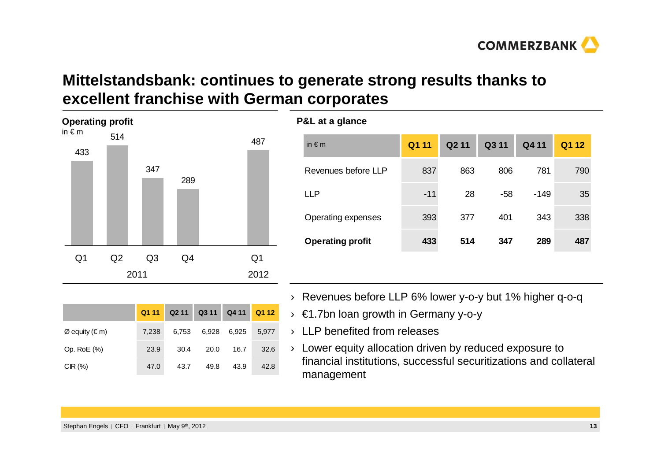# **Mittelstandsbank: continues to generate strong results thanks toexcellent franchise with German corporates**

| <b>Operating profit</b><br>in $\epsilon$ m | 514 |                |     | 487            |
|--------------------------------------------|-----|----------------|-----|----------------|
| 433                                        |     | 347            | 289 |                |
| Q <sub>1</sub>                             | Q2  | Q <sub>3</sub> | Q4  | Q <sub>1</sub> |
|                                            |     | 2011           |     | 2012           |

|                                 | Q1 11 |       | Q2 11 Q3 11 Q4 11 Q1 12 |       |       |
|---------------------------------|-------|-------|-------------------------|-------|-------|
| $\varnothing$ equity ( $\in$ m) | 7,238 | 6,753 | 6,928                   | 6,925 | 5.977 |
| Op. RoE (%)                     | 23.9  | 30.4  | 20.0                    | 16.7  | 32.6  |
| CIR(%)                          | 47.0  | 43.7  | 49.8                    | 43.9  | 42.8  |

|     | P&L at a glance         |       |                   |       |        |       |
|-----|-------------------------|-------|-------------------|-------|--------|-------|
| 487 | in $\notin$ m           | Q1 11 | Q <sub>2</sub> 11 | Q3 11 | Q4 11  | Q1 12 |
|     | Revenues before LLP     | 837   | 863               | 806   | 781    | 790   |
|     | <b>LLP</b>              | $-11$ | 28                | $-58$ | $-149$ | 35    |
|     | Operating expenses      | 393   | 377               | 401   | 343    | 338   |
|     | <b>Operating profit</b> | 433   | 514               | 347   | 289    | 487   |
| Q1  |                         |       |                   |       |        |       |

- › Revenues before LLP 6% lower y-o-y but 1% higher q-o-q
- › €1.7bn loan growth in Germany y-o-y
- › LLP benefited from releases
- › Lower equity allocation driven by reduced exposure to financial institutions, successful securitizations and collateral management

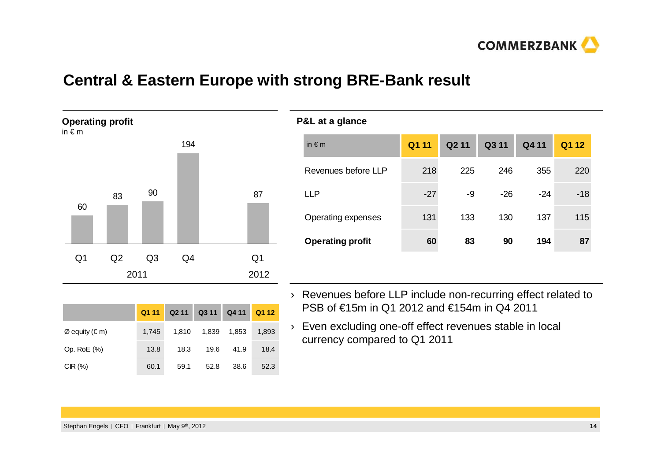

### **Central & Eastern Europe with strong BRE-Bank result**

**P&L at a glance**



| ັ                       |       |       |       |       |       |
|-------------------------|-------|-------|-------|-------|-------|
| in $\notin$ m           | Q1 11 | Q2 11 | Q3 11 | Q4 11 | Q1 12 |
| Revenues before LLP     | 218   | 225   | 246   | 355   | 220   |
| <b>LLP</b>              | $-27$ | -9    | $-26$ | $-24$ | $-18$ |
| Operating expenses      | 131   | 133   | 130   | 137   | 115   |
| <b>Operating profit</b> | 60    | 83    | 90    | 194   | 87    |
|                         |       |       |       |       |       |

- › Revenues before LLP include non-recurring effect related to PSB of €15m in Q1 2012 and €154m in Q4 2011
- › Even excluding one-off effect revenues stable in local currency compared to Q1 2011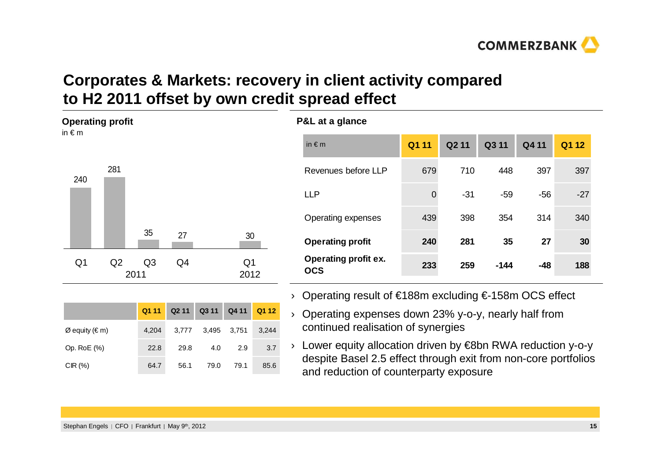**COMMERZBANK** 

# **Corporates & Markets: recovery in client activity comparedto H2 2011 offset by own credit spread effect**

**P&L at a glance**

in € m

| <b>Operating profit</b><br>in $\epsilon$ m |     |      |                |                   |       |                        |       |
|--------------------------------------------|-----|------|----------------|-------------------|-------|------------------------|-------|
| 240                                        | 281 |      |                |                   |       |                        |       |
|                                            |     |      | 35             | 27                |       | 30                     |       |
| Q <sub>1</sub>                             | Q2  | 2011 | Q <sub>3</sub> | Q4                |       | Q <sub>1</sub><br>2012 |       |
|                                            |     |      |                |                   |       |                        |       |
|                                            |     |      | Q1 11          | Q <sub>2</sub> 11 | Q3 11 | Q4 11                  | Q1 12 |

Op. RoE (%) 22.8 29.8 4.0 2.9 3.7

CIR (%) 64.7 56.1 79.0 79.1 85.6

|         |                   |       | JU.        |       | <b>Operating profit</b>                              | 240 | 281 | 35     | 27  | 30  |
|---------|-------------------|-------|------------|-------|------------------------------------------------------|-----|-----|--------|-----|-----|
| Q3<br>1 | Q4                |       | Q1<br>2012 |       | <b>Operating profit ex.</b><br><b>OCS</b>            | 233 | 259 | $-144$ | -48 | 188 |
|         |                   |       |            |       | Operating result of €188m excluding €-158m OCS efect |     |     |        |     |     |
| Q1 11   | Q <sub>2</sub> 11 | Q3 11 | Q4 11      | Q1 12 | Operating expenses down 23% y-o-y, nearly half from  |     |     |        |     |     |
| 4,204   | 3.777             | 3,495 | 3.751      | 3,244 | continued realisation of synergies                   |     |     |        |     |     |

| > Lower equity allocation driven by €8bn RWA reduction y-o-y   |
|----------------------------------------------------------------|
| despite Basel 2.5 effect through exit from non-core portfolios |
| and reduction of counterparty exposure                         |

| > Operating result of €188m excluding €-158m OCS efect |
|--------------------------------------------------------|

**Q1 11 Q2 11 Q3 11 Q4 11 Q1 12**

Revenues before LLP 679 710 448 397 397

LLP 0 -31 -59 -56 -27

Operating expenses 439 398 354 314 340

Operating result of €188m excluding €-158m OCS effect

| Operating result of $\epsilon$ room excluding $\epsilon$ -room OCS effect |  |  |
|---------------------------------------------------------------------------|--|--|
|                                                                           |  |  |

 $\varnothing$  equity ( $\in$  m)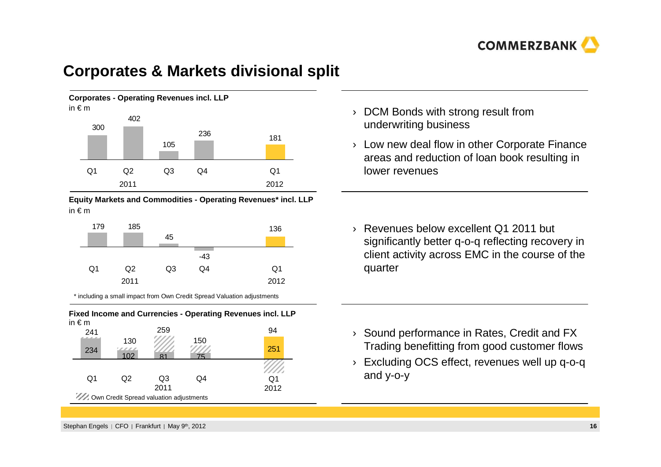

#### **Corporates & Markets divisional split**



**Equity Markets and Commodities - Operating Revenues\* incl. LLP**in € <sup>m</sup>

| 179            | 185  |                |     | 136            |
|----------------|------|----------------|-----|----------------|
|                |      | 45             |     |                |
|                |      |                |     |                |
|                |      |                | -43 |                |
| Q <sub>1</sub> | Q2   | Q <sub>3</sub> | Q4  | Q <sub>1</sub> |
|                | 2011 |                |     | 2012           |

\* including a small impact from Own Credit Spread Valuation adjustments



- $\rightarrow$  DCM Bonds with strong result from underwriting business
- › Low new deal flow in other Corporate Finance areas and reduction of loan book resulting in lower revenues
- › Revenues below excellent Q1 2011 but significantly better q-o-q reflecting recovery in client activity across EMC in the course of the quarter

- › Sound performance in Rates, Credit and FX Trading benefitting from good customer flows
- › Excluding OCS effect, revenues well up q-o-q and y-o-y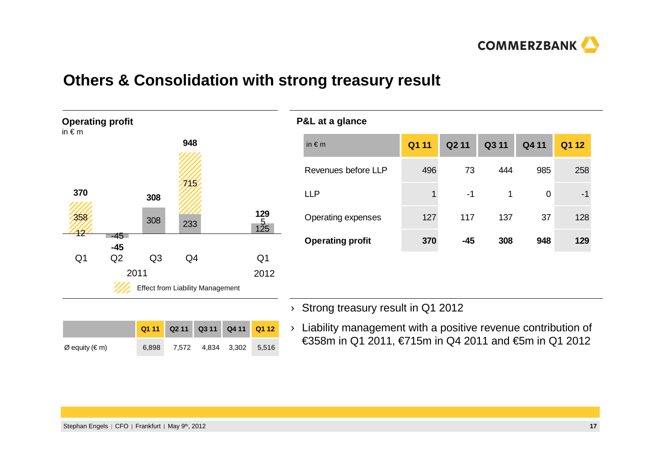

### **Others & Consolidation with strong treasury result**



| ~= ~~ ~ g.~…~~          |       |                   |       |       |       |
|-------------------------|-------|-------------------|-------|-------|-------|
| in $\notin$ m           | Q1 11 | Q <sub>2</sub> 11 | Q3 11 | Q4 11 | Q1 12 |
| Revenues before LLP     | 496   | 73                | 444   | 985   | 258   |
| <b>LLP</b>              | 1     | $-1$              | 1     | 0     | -1    |
| Operating expenses      | 127   | 117               | 137   | 37    | 128   |
| <b>Operating profit</b> | 370   | $-45$             | 308   | 948   | 129   |
|                         |       |                   |       |       |       |
|                         |       |                   |       |       |       |

 $\rightarrow$  Strong treasury result in Q1 2012

**P&L at a glance**

|                                 |       | Q1 11 Q2 11 Q3 11 Q4 11 Q1 12 |                         |  |
|---------------------------------|-------|-------------------------------|-------------------------|--|
| $\varnothing$ equity ( $\in$ m) | 6.898 |                               | 7,572 4,834 3,302 5,516 |  |

› Liability management with a positive revenue contribution of €358m in Q1 2011, €715m in Q4 2011 and €5m in Q1 2012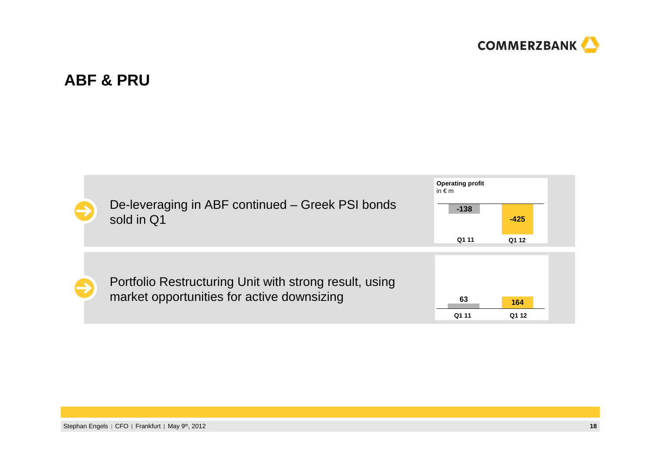

### **ABF & PRU**

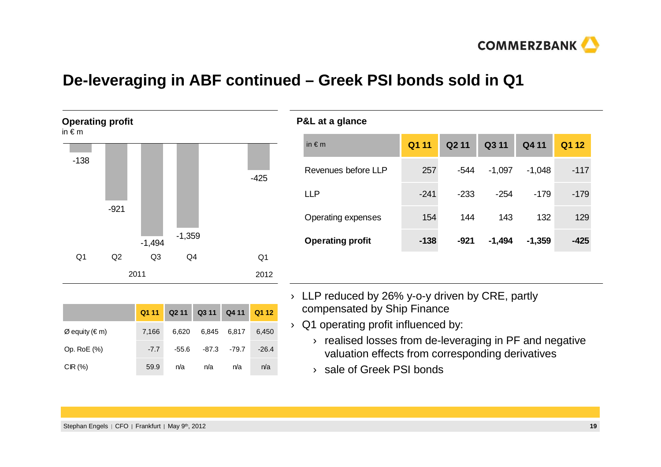

#### **De-leveraging in ABF continued – Greek PSI bonds sold in Q1**



|                  | Q111   |       | Q2 11 Q3 11 Q4 11 Q1 12 |                 |         |
|------------------|--------|-------|-------------------------|-----------------|---------|
| $Ø$ equity (€ m) | 7,166  | 6,620 |                         | 6,845 6,817     | 6,450   |
| Op. RoE (%)      | $-7.7$ | -55.6 |                         | $-87.3$ $-79.7$ | $-26.4$ |
| CIR(%)           | 59.9   | n/a   | n/a                     | n/a             | n/a     |

#### **P&L at a glance**

| in $\notin$ m           | Q1 11  | Q <sub>2</sub> 11 | Q3 11    | Q4 11    | Q1 12  |
|-------------------------|--------|-------------------|----------|----------|--------|
| Revenues before LLP     | 257    | $-544$            | $-1,097$ | $-1,048$ | -117   |
| I I P                   | $-241$ | $-233$            | $-254$   | -179     | $-179$ |
| Operating expenses      | 154    | 144               | 143      | 132      | 129    |
| <b>Operating profit</b> | $-138$ | $-921$            | $-1,494$ | $-1,359$ | -425   |

- › LLP reduced by 26% y-o-y driven by CRE, partly compensated by Ship Finance
- $\rightarrow$  Q1 operating profit influenced by:
	- › realised losses from de-leveraging in PF and negative valuation effects from corresponding derivatives
	- › sale of Greek PSI bonds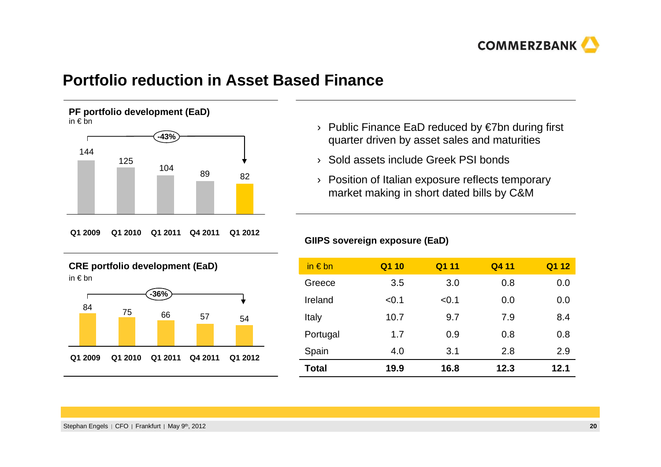

#### **Portfolio reduction in Asset Based Finance**

**PF portfolio development (EaD)** in € bn



**Q1 2009 Q1 2011 Q1 2010 Q4 2011 Q1 2012**

**CRE portfolio development (EaD)**in € bn



- › Public Finance EaD reduced by €7bn during first quarter driven by asset sales and maturities
- › Sold assets include Greek PSI bonds
- › Position of Italian exposure reflects temporary market making in short dated bills by C&M

| GIIPS sovereign exposure (EaD) |
|--------------------------------|
|--------------------------------|

| in $\epsilon$ bn | Q1 10 | Q1 11 | Q4 11 | Q1 12 |
|------------------|-------|-------|-------|-------|
| Greece           | 3.5   | 3.0   | 0.8   | 0.0   |
| Ireland          | < 0.1 | < 0.1 | 0.0   | 0.0   |
| Italy            | 10.7  | 9.7   | 7.9   | 8.4   |
| Portugal         | 1.7   | 0.9   | 0.8   | 0.8   |
| Spain            | 4.0   | 3.1   | 2.8   | 2.9   |
| Total            | 19.9  | 16.8  | 12.3  | 12.1  |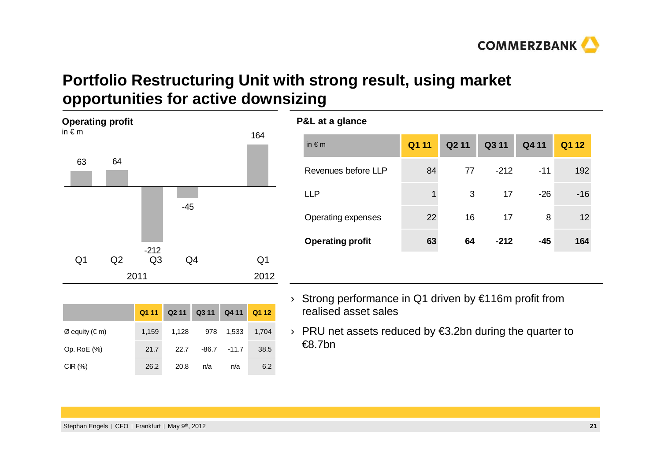

# **Portfolio Restructuring Unit with strong result, using market opportunities for active downsizing**



Op. RoE (%) 21.7 22.7 -86.7 -11.7 38.5

CIR (%) 26.2 20.8 n/a n/a 6.2

| P&L at a glance         |       |                   |        |       |       |
|-------------------------|-------|-------------------|--------|-------|-------|
| in $\notin$ m           | Q1 11 | Q <sub>2</sub> 11 | Q3 11  | Q4 11 | Q1 12 |
| Revenues before LLP     | 84    | 77                | $-212$ | $-11$ | 192   |
| <b>LLP</b>              | 1     | 3                 | 17     | $-26$ | $-16$ |
| Operating expenses      | 22    | 16                | 17     | 8     | 12    |
| <b>Operating profit</b> | 63    | 64                | $-212$ | $-45$ | 164   |
|                         |       |                   |        |       |       |

- › Strong performance in Q1 driven by €116m profit from realised asset sales
- › PRU net assets reduced by €3.2bn during the quarter to €8.7bn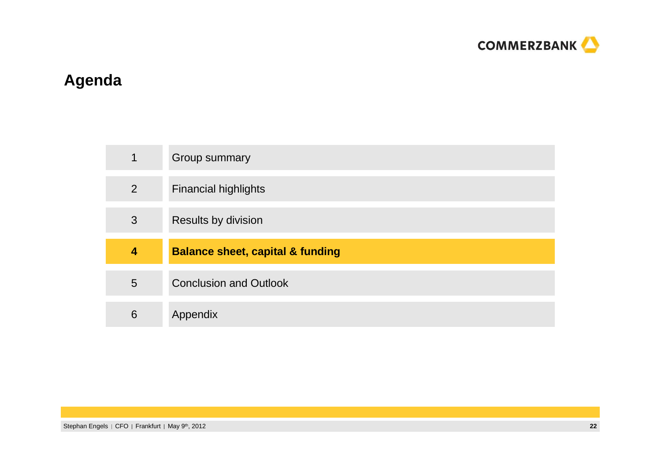

# **Agenda**

| $\mathbf 1$    | Group summary                               |
|----------------|---------------------------------------------|
| $\overline{2}$ | <b>Financial highlights</b>                 |
| 3              | Results by division                         |
|                |                                             |
| 4              | <b>Balance sheet, capital &amp; funding</b> |
| 5              | <b>Conclusion and Outlook</b>               |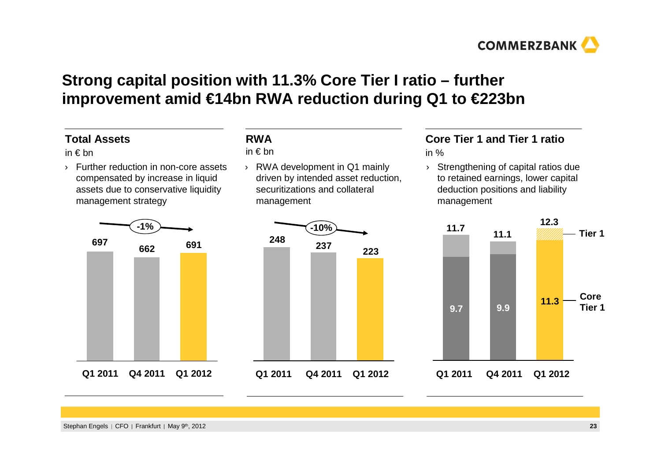

# **Strong capital position with 11.3% Core Tier I ratio – further improvement amid €14bn RWA reduction during Q1 to €223bn**

#### **Total Assets**

in € bn

 › Further reduction in non-core assets compensated by increase in liquid assets due to conservative liquidity management strategy



#### **RWA**

in € bn

› RWA development in Q1 mainly driven by intended asset reduction, securitizations and collateral management



# **Core Tier 1 and Tier 1 ratio**

in %

 Strengthening of capital ratios due ›to retained earnings, lower capital deduction positions and liability management

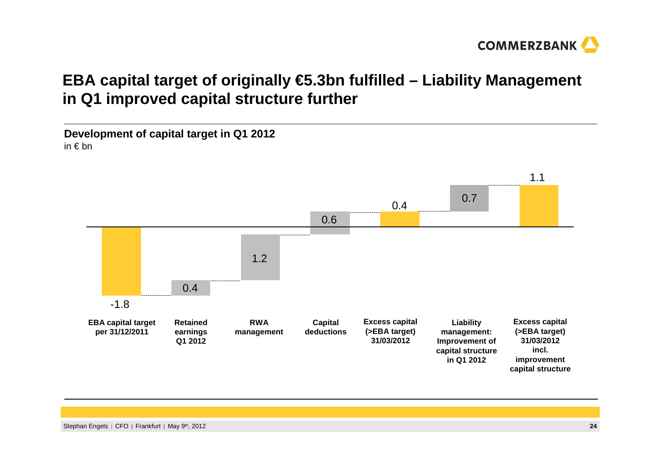

# **EBA capital target of originally €5.3bn fulfilled – Liability Management in Q1 improved capital structure further**

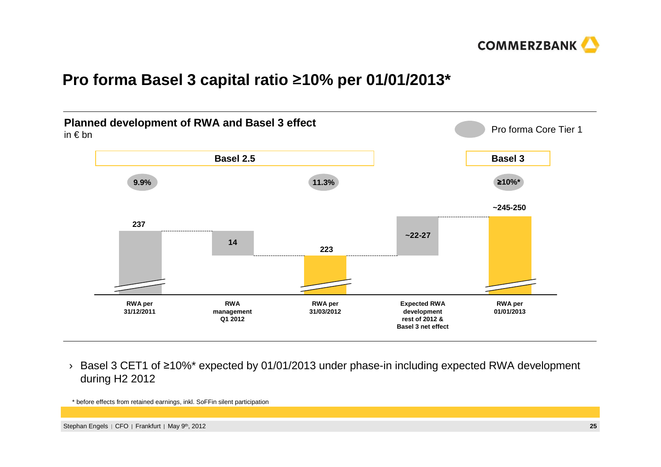

# **Pro forma Basel 3 capital ratio** ุ**10% per 01/01/2013\***



 $\rightarrow$  Basel 3 CET1 of ≥10%\* expected by 01/01/2013 under phase-in including expected RWA development during H2 2012

\* before effects from retained earnings, inkl. SoFFin silent participation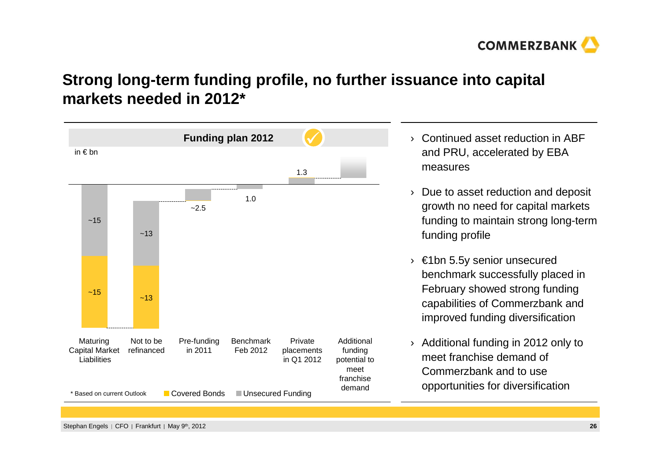

# **Strong long-term funding profile, no further issuance into capital markets needed in 2012\***



Stephan Engels | CFO | Frankfurt | May 9th, 2012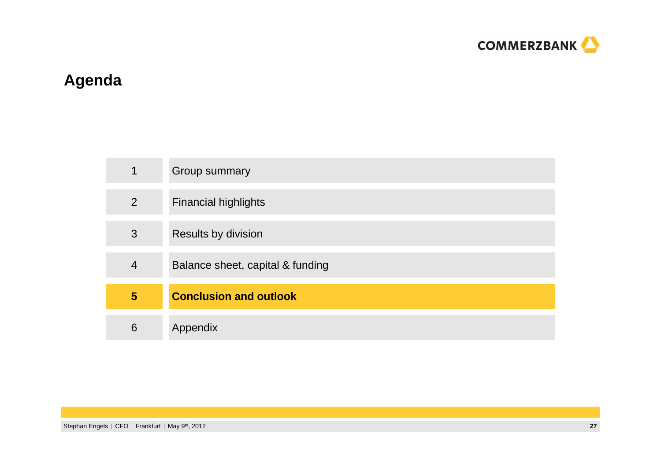

# **Agenda**

| 1              | Group summary                    |
|----------------|----------------------------------|
| 2              | <b>Financial highlights</b>      |
| 3              | Results by division              |
| $\overline{4}$ | Balance sheet, capital & funding |
| $5\phantom{1}$ | <b>Conclusion and outlook</b>    |
| 6              | Appendix                         |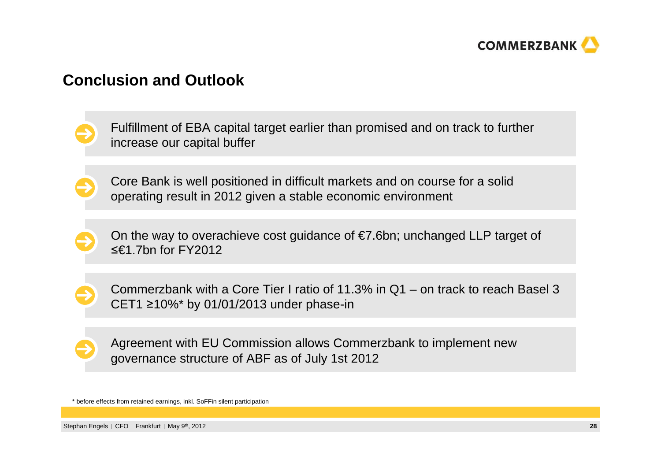

#### **Conclusion and Outlook**

Fulfillment of EBA capital target earlier than promised and on track to further increase our capital buffer

Core Bank is well positioned in difficult markets and on course for a solid operating result in 2012 given a stable economic environment

On the way to overachieve cost guidance of  $E$ 7.6bn; unchanged LLP target of  $≤€1.7$ bn for FY2012

Commerzbank with a Core Tier I ratio of 11.3% in Q1 – on track to reach Basel 3 CET1  $\geq$ 10%\* by 01/01/2013 under phase-in

Agreement with EU Commission allows Commerzbank to implement newgovernance structure of ABF as of July 1st 2012

\* before effects from retained earnings, inkl. SoFFin silent participation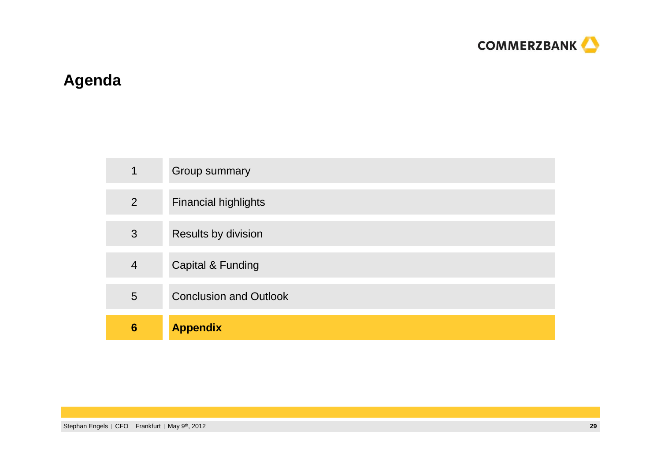

# **Agenda**

| 4               | Group summary                 |
|-----------------|-------------------------------|
| 2               | <b>Financial highlights</b>   |
| 3               | Results by division           |
| $\overline{4}$  | <b>Capital &amp; Funding</b>  |
| 5               | <b>Conclusion and Outlook</b> |
| $6\phantom{1}6$ | <b>Appendix</b>               |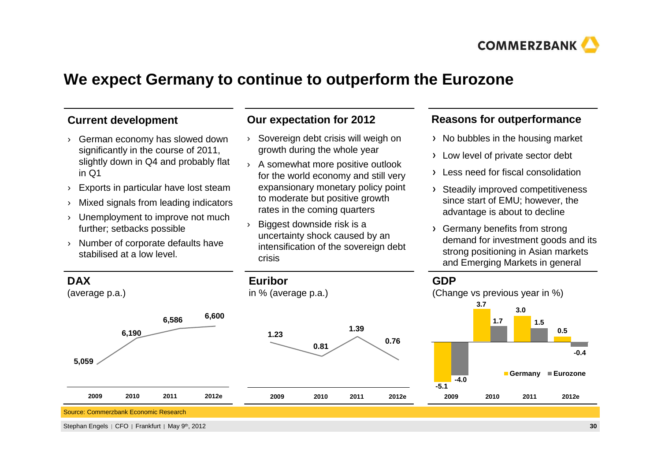

### **We expect Germany to continue to outperform the Eurozone**

#### **Current development**

- › German economy has slowed down significantly in the course of 2011, slightly down in Q4 and probably flat in Q1
- ›Exports in particular have lost steam
- Mixed signals from leading indicators›
- › Unemployment to improve not much further; setbacks possible
- › Number of corporate defaults have stabilised at a low level.

#### **Our expectation for 2012**

- › Sovereign debt crisis will weigh on growth during the whole year
- › A somewhat more positive outlook for the world economy and still very expansionary monetary policy point to moderate but positive growth rates in the coming quarters
- › Biggest downside risk is a uncertainty shock caused by an intensification of the sovereign debt crisis

#### **Reasons for outperformance**

- $\rightarrow$  No bubbles in the housing market
- > Low level of private sector debt
- Less need for fiscal consolidation
- > Steadily improved competitiveness since start of EMU; however, the advantage is about to decline
- Germany benefits from strong demand for investment goods and its strong positioning in Asian markets and Emerging Markets in general

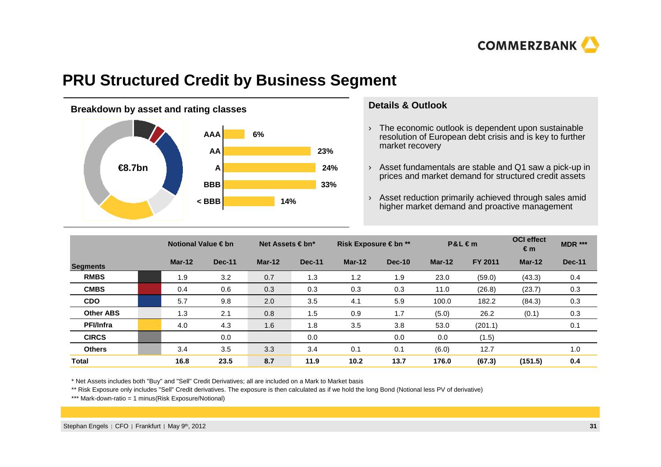

#### **PRU Structured Credit by Business Segment**



#### **Details & Outlook**

- $\rightarrow$  The economic outlook is dependent upon sustainable resolution of European debt crisis and is key to further market recovery
- › Asset fundamentals are stable and Q1 saw a pick-up in prices and market demand for structured credit assets
- › Asset reduction primarily achieved through sales amid higher market demand and proactive management

|                  | Notional Value $\in$ bn |               | Net Assets $\in$ bn* |               | Risk Exposure € bn ** |               |          | $P&L \in m$    | <b>OCI</b> effect<br>€m | <b>MDR ***</b> |
|------------------|-------------------------|---------------|----------------------|---------------|-----------------------|---------------|----------|----------------|-------------------------|----------------|
| <b>Segments</b>  | $Mar-12$                | <b>Dec-11</b> | $Mar-12$             | <b>Dec-11</b> | $Mar-12$              | <b>Dec-10</b> | $Mar-12$ | <b>FY 2011</b> | $Mar-12$                | <b>Dec-11</b>  |
| <b>RMBS</b>      | 1.9                     | 3.2           | 0.7                  | 1.3           | 1.2                   | 1.9           | 23.0     | (59.0)         | (43.3)                  | 0.4            |
| <b>CMBS</b>      | 0.4                     | 0.6           | 0.3                  | 0.3           | 0.3                   | 0.3           | 11.0     | (26.8)         | (23.7)                  | 0.3            |
| <b>CDO</b>       | 5.7                     | 9.8           | 2.0                  | 3.5           | 4.1                   | 5.9           | 100.0    | 182.2          | (84.3)                  | 0.3            |
| <b>Other ABS</b> | 1.3                     | 2.1           | 0.8                  | 1.5           | 0.9                   | 1.7           | (5.0)    | 26.2           | (0.1)                   | 0.3            |
| <b>PFI/Infra</b> | 4.0                     | 4.3           | 1.6                  | 1.8           | 3.5                   | 3.8           | 53.0     | (201.1)        |                         | 0.1            |
| <b>CIRCS</b>     |                         | 0.0           |                      | 0.0           |                       | 0.0           | 0.0      | (1.5)          |                         |                |
| <b>Others</b>    | 3.4                     | 3.5           | 3.3                  | 3.4           | 0.1                   | 0.1           | (6.0)    | 12.7           |                         | 1.0            |
| <b>Total</b>     | 16.8                    | 23.5          | 8.7                  | 11.9          | 10.2                  | 13.7          | 176.0    | (67.3)         | (151.5)                 | 0.4            |

\* Net Assets includes both "Buy" and "Sell" Credit Derivatives; all are included on a Mark to Market basis

\*\* Risk Exposure only includes "Sell" Credit derivatives. The exposure is then calculated as if we hold the long Bond (Notional less PV of derivative)

\*\*\* Mark-down-ratio = 1 minus(Risk Exposure/Notional)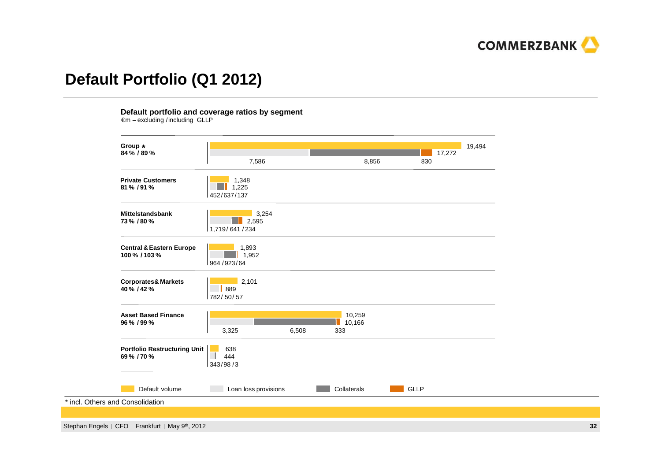

### **Default Portfolio (Q1 2012)**

**Default portfolio and coverage ratios by segment**€m – excluding /including GLLP

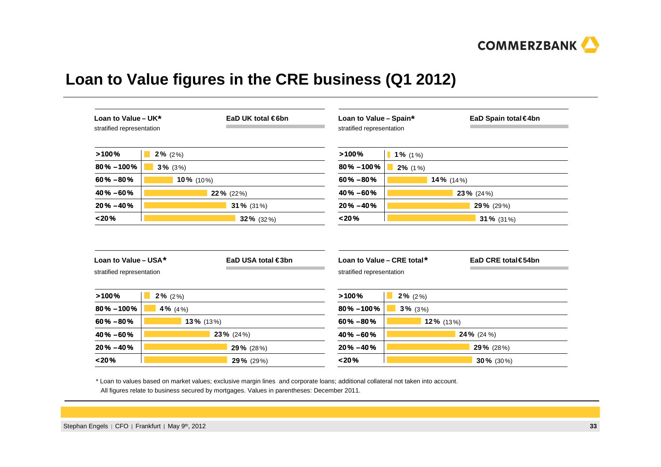

# **Loan to Value figures in the CRE business (Q1 2012)**

| Loan to Value - UK*<br>stratified representation  |            | EaD UK total $\in$ 6bn | Loan to Value - Spain*<br>stratified representation     |                             | EaD Spain total €4bn |
|---------------------------------------------------|------------|------------------------|---------------------------------------------------------|-----------------------------|----------------------|
| >100%                                             | $2\%$ (2%) |                        | >100%                                                   | 1% $(1\%)$                  |                      |
| $80\% - 100\%$                                    | $3\%$ (3%) |                        | $80\% - 100\%$                                          | $2\%$ (1%)                  |                      |
| $60\% - 80\%$                                     | 10% (10%)  |                        | $60\% - 80\%$                                           |                             | 14% (14%)            |
| $40\% - 60\%$                                     |            | 22% (22%)              | $40\% - 60\%$                                           |                             | 23% (24%)            |
| $20\% - 40\%$                                     |            | 31 % $(31\%)$          | $20\% - 40\%$                                           |                             | <b>29%</b> (29%)     |
|                                                   |            |                        | < 20%                                                   |                             | 31% (31%)            |
| < 20%                                             |            | 32% $(32%)$            |                                                         |                             |                      |
| Loan to Value - USA*<br>stratified representation |            | EaD USA total €3bn     | Loan to Value - CRE total*<br>stratified representation |                             | EaD CRE total€54bn   |
| >100%                                             | $2\%$ (2%) |                        | >100%                                                   | $2\%$ (2%)<br><b>The Co</b> |                      |
| $80\% - 100\%$                                    | 4% $(4\%)$ |                        | $80\% - 100\%$                                          | $3\%$ (3%)                  |                      |
| $60\% - 80\%$                                     | 13% (13%)  |                        | $60\% - 80\%$                                           | 12% (13%)                   |                      |
| 40% -60%                                          |            | $23\%$ (24%)           | 40% -60%                                                |                             | 24% (24 %)           |
| $20\% - 40\%$                                     |            | 29% (28%)              | $20\% - 40\%$                                           |                             | 29% (28%)            |

\* Loan to values based on market values; exclusive margin lines and corporate loans; additional collateral not taken into account. All figures relate to business secured by mortgages. Values in parentheses: December 2011.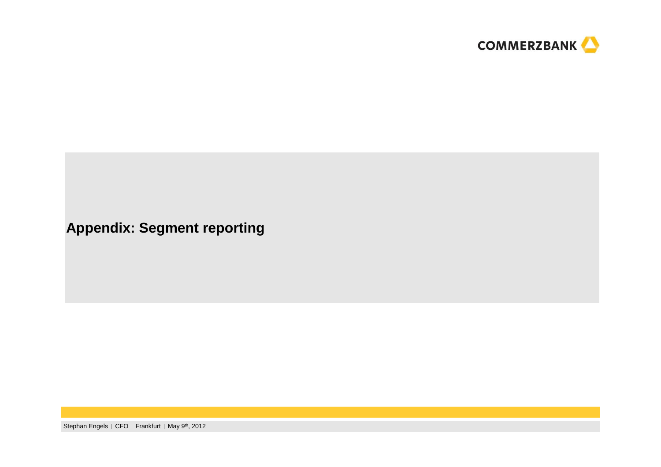

**Appendix: Segment reporting**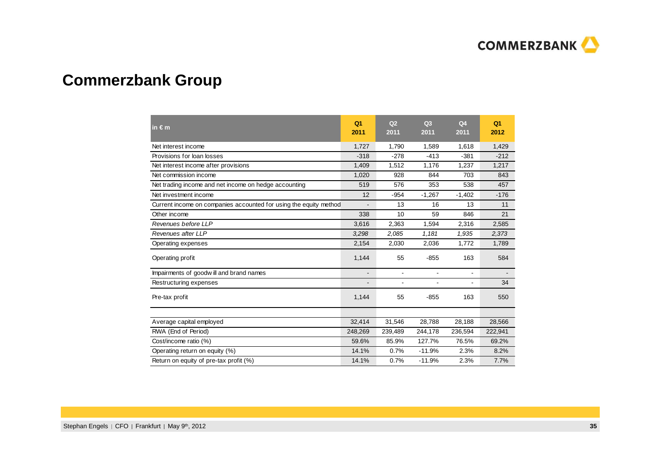

# **Commerzbank Group**

| in $\epsilon$ m                                                   | Q <sub>1</sub><br>2011   | Q <sub>2</sub><br>2011 | Q3<br>2011     | Q <sub>4</sub><br>2011 | Q <sub>1</sub><br>2012 |
|-------------------------------------------------------------------|--------------------------|------------------------|----------------|------------------------|------------------------|
| Net interest income                                               | 1,727                    | 1,790                  | 1,589          | 1,618                  | 1,429                  |
| Provisions for loan losses                                        | $-318$                   | $-278$                 | $-413$         | $-381$                 | $-212$                 |
| Net interest income after provisions                              | 1,409                    | 1,512                  | 1,176          | 1,237                  | 1,217                  |
| Net commission income                                             | 1,020                    | 928                    | 844            | 703                    | 843                    |
| Net trading income and net income on hedge accounting             | 519                      | 576                    | 353            | 538                    | 457                    |
| Net investment income                                             | 12                       | $-954$                 | $-1,267$       | $-1,402$               | $-176$                 |
| Current income on companies accounted for using the equity method |                          | 13                     | 16             | 13                     | 11                     |
| Other income                                                      | 338                      | 10                     | 59             | 846                    | 21                     |
| Revenues before LLP                                               | 3,616                    | 2,363                  | 1,594          | 2,316                  | 2,585                  |
| Revenues after LLP                                                | 3,298                    | 2,085                  | 1,181          | 1,935                  | 2,373                  |
| Operating expenses                                                | 2,154                    | 2,030                  | 2,036          | 1,772                  | 1,789                  |
| Operating profit                                                  | 1,144                    | 55                     | $-855$         | 163                    | 584                    |
| Impairments of goodwill and brand names                           | $\overline{\phantom{a}}$ | $\mathbf{r}$           | $\blacksquare$ | ٠                      |                        |
| Restructuring expenses                                            | $\overline{\phantom{a}}$ |                        | $\blacksquare$ | $\blacksquare$         | 34                     |
| Pre-tax profit                                                    | 1,144                    | 55                     | $-855$         | 163                    | 550                    |
|                                                                   |                          |                        |                |                        |                        |
| Average capital employed                                          | 32,414                   | 31,546                 | 28,788         | 28,188                 | 28,566                 |
| RWA (End of Period)                                               | 248,269                  | 239,489                | 244,178        | 236,594                | 222,941                |
| Cost/income ratio (%)                                             | 59.6%                    | 85.9%                  | 127.7%         | 76.5%                  | 69.2%                  |
| Operating return on equity (%)                                    | 14.1%                    | 0.7%                   | $-11.9%$       | 2.3%                   | 8.2%                   |
| Return on equity of pre-tax profit (%)                            | 14.1%                    | 0.7%                   | $-11.9%$       | 2.3%                   | 7.7%                   |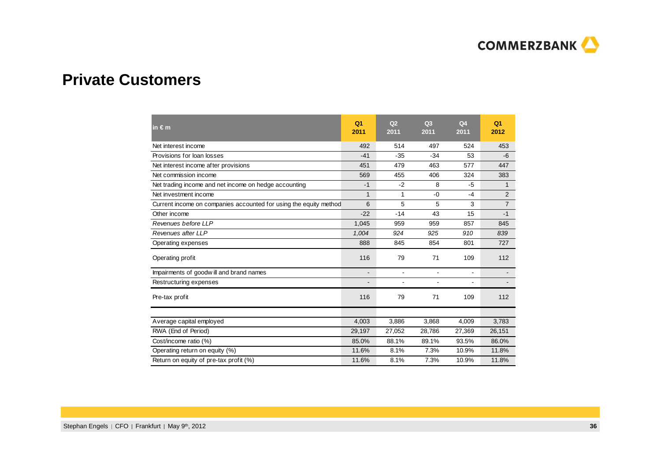

#### **Private Customers**

| in $\epsilon$ m                                                   | Q <sub>1</sub><br>2011   | Q <sub>2</sub><br>2011 | Q <sub>3</sub><br>2011 | Q <sub>4</sub><br>2011 | Q <sub>1</sub><br>2012 |
|-------------------------------------------------------------------|--------------------------|------------------------|------------------------|------------------------|------------------------|
| Net interest income                                               | 492                      | 514                    | 497                    | 524                    | 453                    |
| Provisions for loan losses                                        | $-41$                    | $-35$                  | $-34$                  | 53                     | $-6$                   |
| Net interest income after provisions                              | 451                      | 479                    | 463                    | 577                    | 447                    |
| Net commission income                                             | 569                      | 455                    | 406                    | 324                    | 383                    |
| Net trading income and net income on hedge accounting             | $-1$                     | $-2$                   | 8                      | $-5$                   | 1                      |
| Net investment income                                             | $\mathbf{1}$             | 1                      | $-0$                   | $-4$                   | $\overline{2}$         |
| Current income on companies accounted for using the equity method | 6                        | 5                      | 5                      | 3                      | $\overline{7}$         |
| Other income                                                      | $-22$                    | $-14$                  | 43                     | 15                     | $-1$                   |
| Revenues before LLP                                               | 1,045                    | 959                    | 959                    | 857                    | 845                    |
| Revenues after LLP                                                | 1,004                    | 924                    | 925                    | 910                    | 839                    |
| Operating expenses                                                | 888                      | 845                    | 854                    | 801                    | 727                    |
| Operating profit                                                  | 116                      | 79                     | 71                     | 109                    | 112                    |
| Impairments of goodwill and brand names                           | $\blacksquare$           | $\blacksquare$         | $\blacksquare$         | $\blacksquare$         |                        |
| Restructuring expenses                                            | $\overline{\phantom{0}}$ |                        |                        | $\blacksquare$         |                        |
| Pre-tax profit                                                    | 116                      | 79                     | 71                     | 109                    | 112                    |
|                                                                   |                          |                        |                        |                        |                        |
| Average capital employed                                          | 4,003                    | 3,886                  | 3,868                  | 4,009                  | 3,783                  |
| RWA (End of Period)                                               | 29,197                   | 27,052                 | 28,786                 | 27,369                 | 26,151                 |
| Cost/income ratio (%)                                             | 85.0%                    | 88.1%                  | 89.1%                  | 93.5%                  | 86.0%                  |
| Operating return on equity (%)                                    | 11.6%                    | 8.1%                   | 7.3%                   | 10.9%                  | 11.8%                  |
| Return on equity of pre-tax profit (%)                            | 11.6%                    | 8.1%                   | 7.3%                   | 10.9%                  | 11.8%                  |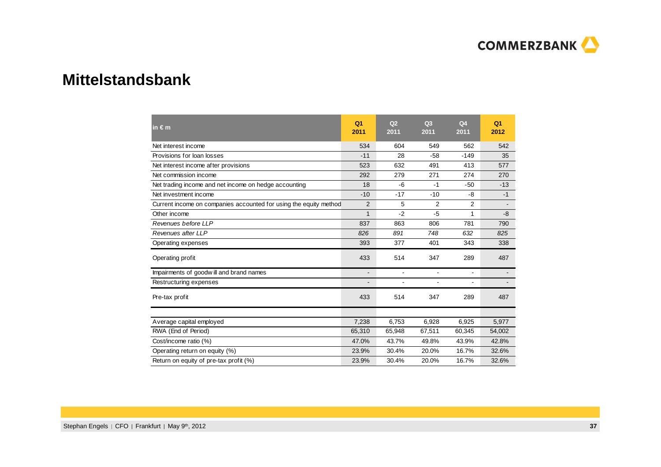

#### **Mittelstandsbank**

| in $\epsilon$ m                                                   | Q <sub>1</sub><br>2011 | Q <sub>2</sub><br>2011 | Q3<br>2011     | Q <sub>4</sub><br>2011 | Q <sub>1</sub><br>2012 |
|-------------------------------------------------------------------|------------------------|------------------------|----------------|------------------------|------------------------|
| Net interest income                                               | 534                    | 604                    | 549            | 562                    | 542                    |
| Provisions for loan losses                                        | $-11$                  | 28                     | $-58$          | $-149$                 | 35                     |
| Net interest income after provisions                              | 523                    | 632                    | 491            | 413                    | 577                    |
| Net commission income                                             | 292                    | 279                    | 271            | 274                    | 270                    |
| Net trading income and net income on hedge accounting             | 18                     | $-6$                   | $-1$           | $-50$                  | $-13$                  |
| Net investment income                                             | $-10$                  | $-17$                  | $-10$          | -8                     | $-1$                   |
| Current income on companies accounted for using the equity method | 2                      | 5                      | 2              | 2                      |                        |
| Other income                                                      | $\mathbf{1}$           | $-2$                   | $-5$           | 1                      | $-8$                   |
| Revenues before LLP                                               | 837                    | 863                    | 806            | 781                    | 790                    |
| Revenues after LLP                                                | 826                    | 891                    | 748            | 632                    | 825                    |
| Operating expenses                                                | 393                    | 377                    | 401            | 343                    | 338                    |
| Operating profit                                                  | 433                    | 514                    | 347            | 289                    | 487                    |
| Impairments of goodwill and brand names                           | $\blacksquare$         | $\blacksquare$         | $\blacksquare$ | $\blacksquare$         |                        |
| Restructuring expenses                                            |                        | $\blacksquare$         |                | $\blacksquare$         |                        |
| Pre-tax profit                                                    | 433                    | 514                    | 347            | 289                    | 487                    |
|                                                                   |                        |                        |                |                        |                        |
| Average capital employed                                          | 7,238                  | 6.753                  | 6,928          | 6,925                  | 5,977                  |
| RWA (End of Period)                                               | 65,310                 | 65.948                 | 67,511         | 60,345                 | 54,002                 |
| Cost/income ratio (%)                                             | 47.0%                  | 43.7%                  | 49.8%          | 43.9%                  | 42.8%                  |
| Operating return on equity (%)                                    | 23.9%                  | 30.4%                  | 20.0%          | 16.7%                  | 32.6%                  |
| Return on equity of pre-tax profit (%)                            | 23.9%                  | 30.4%                  | 20.0%          | 16.7%                  | 32.6%                  |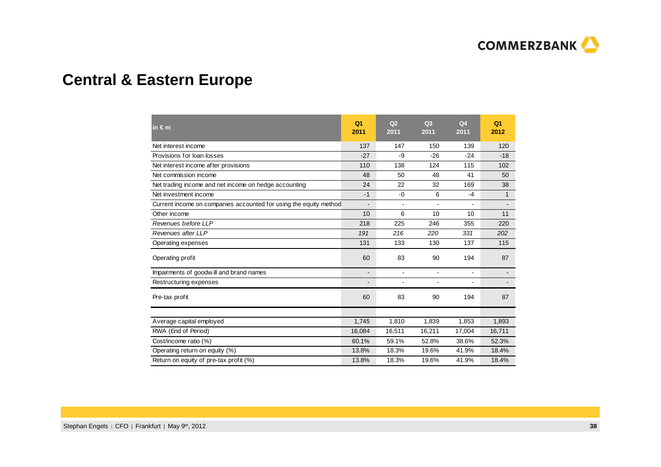

# **Central & Eastern Europe**

| in $\epsilon$ m                                                   | Q <sub>1</sub><br>2011 | Q <sub>2</sub><br>2011 | Q <sub>3</sub><br>2011 | Q <sub>4</sub><br>2011 | Q <sub>1</sub><br>2012 |
|-------------------------------------------------------------------|------------------------|------------------------|------------------------|------------------------|------------------------|
| Net interest income                                               | 137                    | 147                    | 150                    | 139                    | 120                    |
| Provisions for loan losses                                        | $-27$                  | -9                     | $-26$                  | $-24$                  | $-18$                  |
| Net interest income after provisions                              | 110                    | 138                    | 124                    | 115                    | 102                    |
| Net commission income                                             | 48                     | 50                     | 48                     | 41                     | 50                     |
| Net trading income and net income on hedge accounting             | 24                     | 22                     | 32                     | 169                    | 38                     |
| Net investment income                                             | $-1$                   | $-0$                   | 6                      | $-4$                   | $\mathbf{1}$           |
| Current income on companies accounted for using the equity method | $\blacksquare$         |                        | L.                     | $\blacksquare$         |                        |
| Other income                                                      | 10                     | 6                      | 10                     | 10                     | 11                     |
| Revenues before LLP                                               | 218                    | 225                    | 246                    | 355                    | 220                    |
| Revenues after LLP                                                | 191                    | 216                    | 220                    | 331                    | 202                    |
| Operating expenses                                                | 131                    | 133                    | 130                    | 137                    | 115                    |
| Operating profit                                                  | 60                     | 83                     | 90                     | 194                    | 87                     |
| Impairments of goodwill and brand names                           |                        |                        | $\blacksquare$         | $\blacksquare$         |                        |
| Restructuring expenses                                            |                        |                        | $\blacksquare$         | $\blacksquare$         |                        |
| Pre-tax profit                                                    | 60                     | 83                     | 90                     | 194                    | 87                     |
|                                                                   |                        |                        |                        |                        |                        |
| Average capital employed                                          | 1,745                  | 1,810                  | 1,839                  | 1,853                  | 1,893                  |
| RWA (End of Period)                                               | 16,084                 | 16,511                 | 16,211                 | 17.004                 | 16,711                 |
| Cost/income ratio (%)                                             | 60.1%                  | 59.1%                  | 52.8%                  | 38.6%                  | 52.3%                  |
| Operating return on equity (%)                                    | 13.8%                  | 18.3%                  | 19.6%                  | 41.9%                  | 18.4%                  |
| Return on equity of pre-tax profit (%)                            | 13.8%                  | 18.3%                  | 19.6%                  | 41.9%                  | 18.4%                  |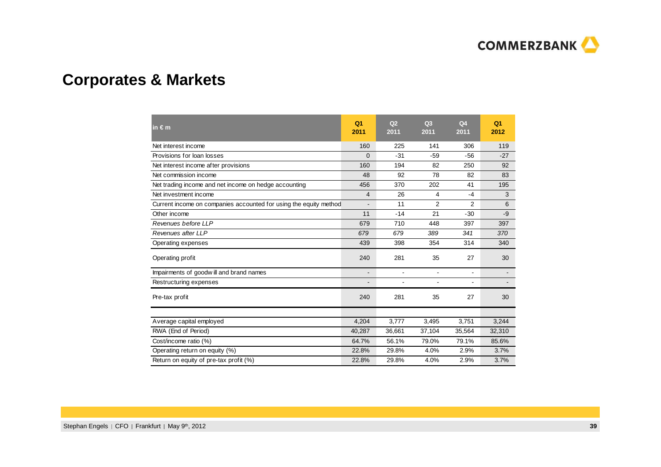

# **Corporates & Markets**

| in $\epsilon$ m                                                   | Q <sub>1</sub><br>2011 | Q <sub>2</sub><br>2011 | Q3<br>2011     | Q <sub>4</sub><br>2011   | Q <sub>1</sub><br>2012 |
|-------------------------------------------------------------------|------------------------|------------------------|----------------|--------------------------|------------------------|
| Net interest income                                               | 160                    | 225                    | 141            | 306                      | 119                    |
| Provisions for loan losses                                        | $\overline{0}$         | $-31$                  | $-59$          | $-56$                    | $-27$                  |
| Net interest income after provisions                              | 160                    | 194                    | 82             | 250                      | 92                     |
| Net commission income                                             | 48                     | 92                     | 78             | 82                       | 83                     |
| Net trading income and net income on hedge accounting             | 456                    | 370                    | 202            | 41                       | 195                    |
| Net investment income                                             | $\overline{4}$         | 26                     | 4              | $-4$                     | 3                      |
| Current income on companies accounted for using the equity method |                        | 11                     | 2              | 2                        | 6                      |
| Other income                                                      | 11                     | $-14$                  | 21             | $-30$                    | $-9$                   |
| Revenues before LLP                                               | 679                    | 710                    | 448            | 397                      | 397                    |
| Revenues after LLP                                                | 679                    | 679                    | 389            | 341                      | 370                    |
| Operating expenses                                                | 439                    | 398                    | 354            | 314                      | 340                    |
| Operating profit                                                  | 240                    | 281                    | 35             | 27                       | 30                     |
| Impairments of goodwill and brand names                           | $\blacksquare$         | $\blacksquare$         | $\blacksquare$ | $\overline{\phantom{0}}$ |                        |
| Restructuring expenses                                            |                        |                        |                | $\overline{\phantom{0}}$ |                        |
| Pre-tax profit                                                    | 240                    | 281                    | 35             | 27                       | 30                     |
| Average capital employed                                          | 4,204                  | 3,777                  | 3,495          | 3,751                    | 3,244                  |
|                                                                   |                        |                        |                |                          |                        |
| RWA (End of Period)                                               | 40,287                 | 36,661                 | 37,104         | 35,564                   | 32,310                 |
| Cost/income ratio (%)                                             | 64.7%                  | 56.1%                  | 79.0%          | 79.1%                    | 85.6%                  |
| Operating return on equity (%)                                    | 22.8%                  | 29.8%                  | 4.0%           | 2.9%                     | 3.7%                   |
| Return on equity of pre-tax profit (%)                            | 22.8%                  | 29.8%                  | 4.0%           | 2.9%                     | 3.7%                   |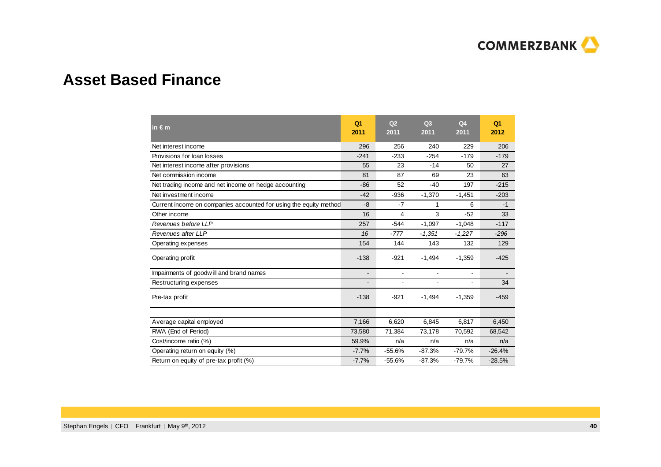

### **Asset Based Finance**

| in $\epsilon$ m                                                   | Q <sub>1</sub><br>2011 | Q <sub>2</sub><br>2011 | Q <sub>3</sub><br>2011   | Q <sub>4</sub><br>2011 | Q <sub>1</sub><br>2012 |
|-------------------------------------------------------------------|------------------------|------------------------|--------------------------|------------------------|------------------------|
| Net interest income                                               | 296                    | 256                    | 240                      | 229                    | 206                    |
| Provisions for loan losses                                        | $-241$                 | $-233$                 | $-254$                   | $-179$                 | $-179$                 |
| Net interest income after provisions                              | 55                     | 23                     | $-14$                    | 50                     | 27                     |
| Net commission income                                             | 81                     | 87                     | 69                       | 23                     | 63                     |
| Net trading income and net income on hedge accounting             | $-86$                  | 52                     | $-40$                    | 197                    | $-215$                 |
| Net investment income                                             | $-42$                  | $-936$                 | $-1,370$                 | $-1,451$               | $-203$                 |
| Current income on companies accounted for using the equity method | -8                     | $-7$                   | 1                        | 6                      | $-1$                   |
| Other income                                                      | 16                     | 4                      | 3                        | $-52$                  | 33                     |
| Revenues before LLP                                               | 257                    | $-544$                 | $-1,097$                 | $-1,048$               | $-117$                 |
| Revenues after LLP                                                | 16                     | $-777$                 | $-1,351$                 | $-1,227$               | $-296$                 |
| Operating expenses                                                | 154                    | 144                    | 143                      | 132                    | 129                    |
| Operating profit                                                  | $-138$                 | $-921$                 | $-1,494$                 | $-1,359$               | $-425$                 |
| Impairments of goodwill and brand names                           |                        | $\blacksquare$         | $\overline{\phantom{a}}$ | ۰                      |                        |
| Restructuring expenses                                            |                        |                        |                          |                        | 34                     |
| Pre-tax profit                                                    | $-138$                 | $-921$                 | $-1,494$                 | $-1,359$               | $-459$                 |
|                                                                   |                        |                        |                          |                        |                        |
| Average capital employed                                          | 7,166                  | 6,620                  | 6,845                    | 6,817                  | 6,450                  |
| RWA (End of Period)                                               | 73,580                 | 71,384                 | 73,178                   | 70,592                 | 68,542                 |
| Cost/income ratio (%)                                             | 59.9%                  | n/a                    | n/a                      | n/a                    | n/a                    |
| Operating return on equity (%)                                    | $-7.7%$                | $-55.6%$               | $-87.3%$                 | $-79.7%$               | $-26.4%$               |
| Return on equity of pre-tax profit (%)                            | $-7.7%$                | $-55.6%$               | $-87.3%$                 | $-79.7%$               | $-28.5%$               |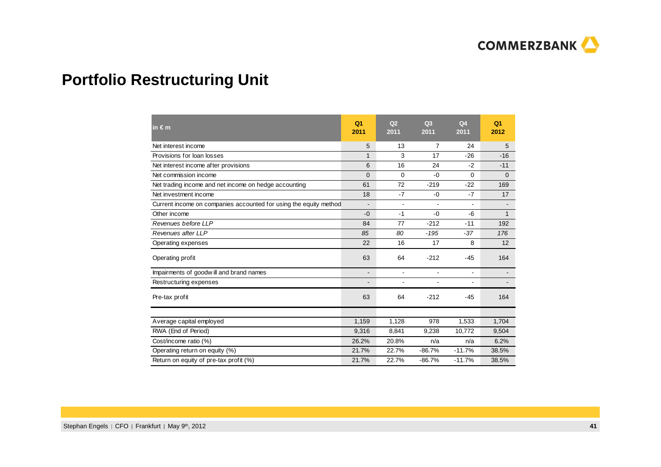

# **Portfolio Restructuring Unit**

| in $\epsilon$ m                                                   | Q <sub>1</sub><br>2011   | Q <sub>2</sub><br>2011 | Q <sub>3</sub><br>2011 | Q <sub>4</sub><br>2011 | Q <sub>1</sub><br>2012 |
|-------------------------------------------------------------------|--------------------------|------------------------|------------------------|------------------------|------------------------|
| Net interest income                                               | 5                        | 13                     | 7                      | 24                     | 5                      |
| Provisions for loan losses                                        | $\mathbf{1}$             | 3                      | 17                     | $-26$                  | $-16$                  |
| Net interest income after provisions                              | 6                        | 16                     | 24                     | $-2$                   | $-11$                  |
| Net commission income                                             | $\overline{0}$           | $\Omega$               | $-0$                   | $\Omega$               | $\mathbf{0}$           |
| Net trading income and net income on hedge accounting             | 61                       | 72                     | $-219$                 | $-22$                  | 169                    |
| Net investment income                                             | 18                       | $-7$                   | $-0$                   | $-7$                   | 17                     |
| Current income on companies accounted for using the equity method | $\overline{\phantom{a}}$ |                        | ۰                      | $\blacksquare$         |                        |
| Other income                                                      | $-0$                     | $-1$                   | $-0$                   | -6                     | $\mathbf{1}$           |
| Revenues before LLP                                               | 84                       | 77                     | $-212$                 | $-11$                  | 192                    |
| Revenues after LLP                                                | 85                       | 80                     | $-195$                 | $-37$                  | 176                    |
| Operating expenses                                                | 22                       | 16                     | 17                     | 8                      | 12                     |
| Operating profit                                                  | 63                       | 64                     | $-212$                 | $-45$                  | 164                    |
| Impairments of goodwill and brand names                           | $\overline{\phantom{a}}$ | $\blacksquare$         | $\blacksquare$         | $\blacksquare$         |                        |
| Restructuring expenses                                            |                          |                        | -                      | $\blacksquare$         |                        |
| Pre-tax profit                                                    | 63                       | 64                     | $-212$                 | $-45$                  | 164                    |
|                                                                   |                          |                        |                        |                        |                        |
| Average capital employed                                          | 1,159                    | 1,128                  | 978                    | 1,533                  | 1,704                  |
| RWA (End of Period)                                               | 9,316                    | 8,841                  | 9,238                  | 10,772                 | 9,504                  |
| Cost/income ratio (%)                                             | 26.2%                    | 20.8%                  | n/a                    | n/a                    | 6.2%                   |
| Operating return on equity (%)                                    | 21.7%                    | 22.7%                  | $-86.7%$               | $-11.7%$               | 38.5%                  |
| Return on equity of pre-tax profit (%)                            | 21.7%                    | 22.7%                  | $-86.7%$               | $-11.7%$               | 38.5%                  |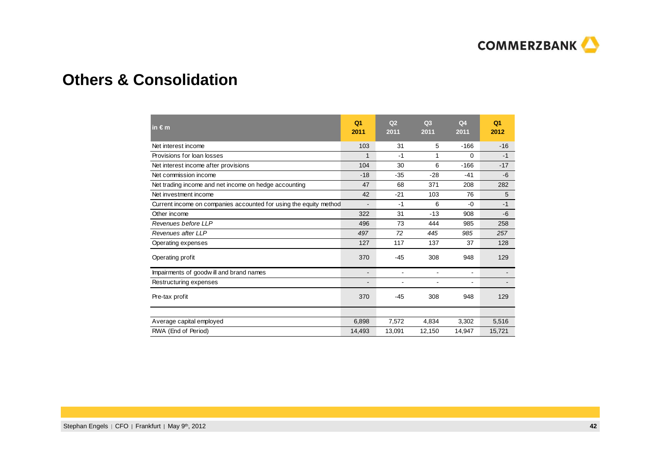

### **Others & Consolidation**

| in $\epsilon$ m                                                   | Q <sub>1</sub><br>2011   | Q <sub>2</sub><br>2011   | Q <sub>3</sub><br>2011   | Q <sub>4</sub><br>2011 | Q <sub>1</sub><br>2012 |
|-------------------------------------------------------------------|--------------------------|--------------------------|--------------------------|------------------------|------------------------|
| Net interest income                                               | 103                      | 31                       | 5                        | $-166$                 | $-16$                  |
| Provisions for loan losses                                        | 1                        | $-1$                     | 1                        | 0                      | $-1$                   |
| Net interest income after provisions                              | 104                      | 30                       | 6                        | $-166$                 | $-17$                  |
| Net commission income                                             | $-18$                    | $-35$                    | $-28$                    | $-41$                  | $-6$                   |
| Net trading income and net income on hedge accounting             | 47                       | 68                       | 371                      | 208                    | 282                    |
| Net investment income                                             | 42                       | $-21$                    | 103                      | 76                     | 5                      |
| Current income on companies accounted for using the equity method |                          | $-1$                     | 6                        | $-0$                   | $-1$                   |
| Other income                                                      | 322                      | 31                       | $-13$                    | 908                    | $-6$                   |
| Revenues before LLP                                               | 496                      | 73                       | 444                      | 985                    | 258                    |
| Revenues after LLP                                                | 497                      | 72                       | 445                      | 985                    | 257                    |
| Operating expenses                                                | 127                      | 117                      | 137                      | 37                     | 128                    |
| Operating profit                                                  | 370                      | $-45$                    | 308                      | 948                    | 129                    |
| Impairments of goodwill and brand names                           | $\overline{\phantom{a}}$ | $\overline{\phantom{a}}$ | $\overline{\phantom{a}}$ | $\blacksquare$         |                        |
| Restructuring expenses                                            | $\overline{\phantom{a}}$ | $\blacksquare$           | $\blacksquare$           | $\blacksquare$         |                        |
| Pre-tax profit                                                    | 370                      | $-45$                    | 308                      | 948                    | 129                    |
|                                                                   |                          |                          |                          |                        |                        |
| Average capital employed                                          | 6,898                    | 7,572                    | 4,834                    | 3,302                  | 5,516                  |
| RWA (End of Period)                                               | 14,493                   | 13,091                   | 12,150                   | 14,947                 | 15,721                 |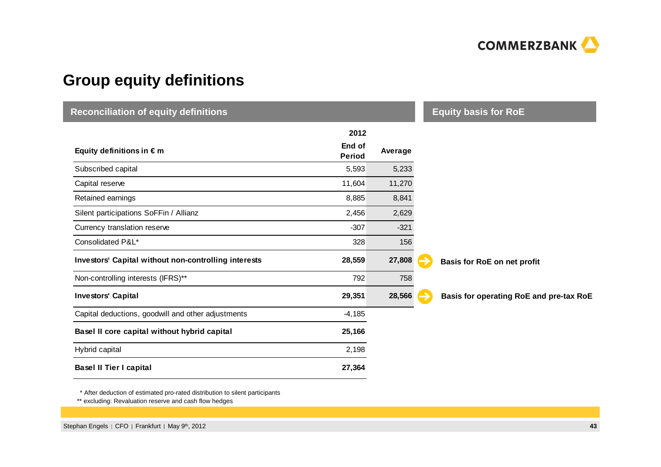

# **Group equity definitions**

| <b>Reconciliation of equity definitions</b>          |                         |         | <b>Equity basis for RoE</b>             |
|------------------------------------------------------|-------------------------|---------|-----------------------------------------|
|                                                      | 2012                    |         |                                         |
| Equity definitions in $\epsilon$ m                   | End of<br><b>Period</b> | Average |                                         |
| Subscribed capital                                   | 5,593                   | 5,233   |                                         |
| Capital reserve                                      | 11,604                  | 11,270  |                                         |
| Retained earnings                                    | 8,885                   | 8,841   |                                         |
| Silent participations SoFFin / Allianz               | 2,456                   | 2,629   |                                         |
| Currency translation reserve                         | $-307$                  | $-321$  |                                         |
| Consolidated P&L*                                    | 328                     | 156     |                                         |
| Investors' Capital without non-controlling interests | 28,559                  | 27,808  | Basis for RoE on net profit             |
| Non-controlling interests (IFRS)**                   | 792                     | 758     |                                         |
| <b>Investors' Capital</b>                            | 29,351                  | 28,566  | Basis for operating RoE and pre-tax RoE |
| Capital deductions, goodwill and other adjustments   | $-4,185$                |         |                                         |
| Basel II core capital without hybrid capital         | 25,166                  |         |                                         |
| Hybrid capital                                       | 2,198                   |         |                                         |
| <b>Basel II Tier I capital</b>                       | 27,364                  |         |                                         |

\* After deduction of estimated pro-rated distribution to silent participants

\*\* excluding: Revaluation reserve and cash flow hedges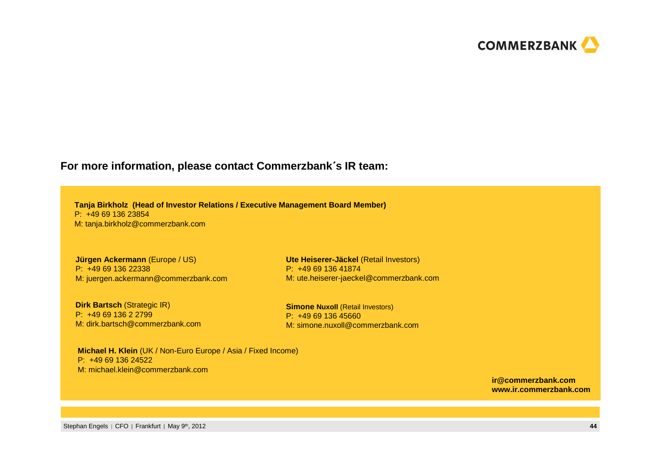

#### **For more information, please contact Commerzbank**´**<sup>s</sup> IR team:**

**Tanja Birkholz (Head of Investor Relations / Executive Management Board Member)**P: +49 69 136 23854M: tanja.birkholz@commerzbank.com

**Jürgen Ackermann** (Europe / US)P: +49 69 136 22338M: juergen.ackermann@commerzbank.com

**Dirk Bartsch (Strategic IR)** P: +49 69 136 2 2799 M: dirk.bartsch@commerzbank.com

**Ute Heiserer-Jäckel** (Retail Investors)P: +49 69 136 41874M: ute.heiserer-jaeckel@commerzbank.com

**Simone Nuxoll (Retail Investors)** P: +49 69 136 45660M: simone.nuxoll@commerzbank.com

**Michael H. Klein** (UK / Non-Euro Europe / Asia / Fixed Income)P: +49 69 136 24522M: michael.klein@commerzbank.com

> **ir@commerzbank.comwww.ir.commerzbank.com**